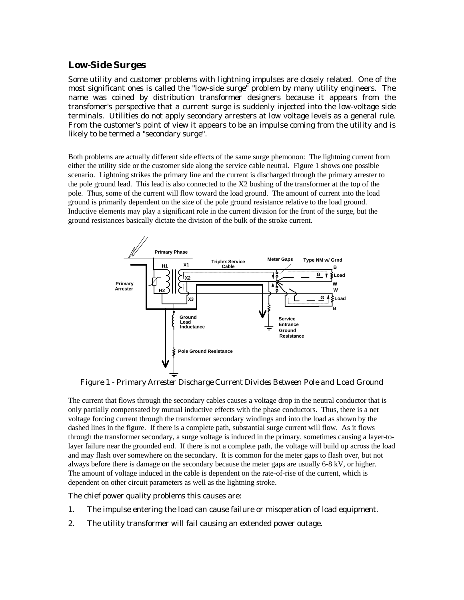## *Low-Side Surges*

Some utility and customer problems with lightning impulses are closely related. One of the most significant ones is called the "low-side surge" problem by many utility engineers. The name was coined by distribution transformer designers because it appears from the transfomer's perspective that a current surge is suddenly injected into the low-voltage side terminals. Utilities do not apply secondary arresters at low voltage levels as a general rule. From the customer's point of view it appears to be an impulse coming from the utility and is likely to be termed a "secondary surge".

Both problems are actually different side effects of the same surge phemonon: The lightning current from either the utility side or the customer side along the service cable neutral. Figure 1 shows one possible scenario. Lightning strikes the primary line and the current is discharged through the primary arrester to the pole ground lead. This lead is also connected to the X2 bushing of the transformer at the top of the pole. Thus, some of the current will flow toward the load ground. The amount of current into the load ground is primarily dependent on the size of the pole ground resistance relative to the load ground. Inductive elements may play a significant role in the current division for the front of the surge, but the ground resistances basically dictate the division of the bulk of the stroke current.



*Figure 1 - Primary Arrester Discharge Current Divides Between Pole and Load Ground*

The current that flows through the secondary cables causes a voltage drop in the neutral conductor that is only partially compensated by mutual inductive effects with the phase conductors. Thus, there is a net voltage forcing current through the transformer secondary windings and into the load as shown by the dashed lines in the figure. If there is a complete path, substantial surge current will flow. As it flows through the transformer secondary, a surge voltage is induced in the primary, sometimes causing a layer-tolayer failure near the grounded end. If there is not a complete path, the voltage will build up across the load and may flash over somewhere on the secondary. It is common for the meter gaps to flash over, but not always before there is damage on the secondary because the meter gaps are usually 6-8 kV, or higher. The amount of voltage induced in the cable is dependent on the rate-of-rise of the current, which is dependent on other circuit parameters as well as the lightning stroke.

The chief power quality problems this causes are:

- 1. The impulse entering the load can cause failure or misoperation of load equipment.
- 2. The utility transformer will fail causing an extended power outage.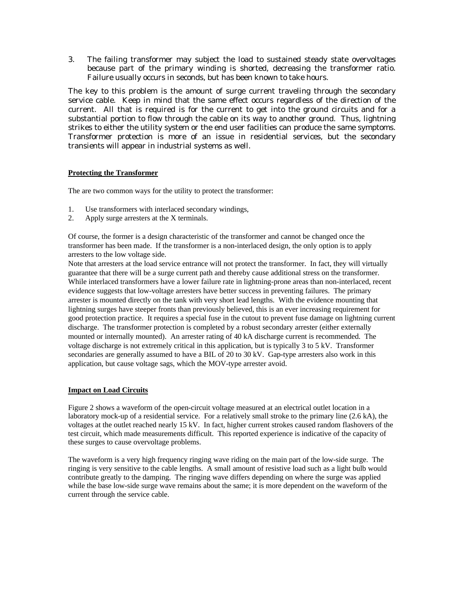3. The failing transformer may subject the load to sustained steady state overvoltages because part of the primary winding is shorted, decreasing the transformer ratio. Failure usually occurs in seconds, but has been known to take hours.

The key to this problem is the amount of surge current traveling through the secondary service cable. Keep in mind that the same effect occurs regardless of the direction of the current. All that is required is for the current to get into the ground circuits and for a substantial portion to flow through the cable on its way to another ground. Thus, lightning strikes to either the utility system or the end user facilities can produce the same symptoms. Transformer protection is more of an issue in residential services, but the secondary transients will appear in industrial systems as well.

## **Protecting the Transformer**

The are two common ways for the utility to protect the transformer:

- 1. Use transformers with interlaced secondary windings,
- 2. Apply surge arresters at the X terminals.

Of course, the former is a design characteristic of the transformer and cannot be changed once the transformer has been made. If the transformer is a non-interlaced design, the only option is to apply arresters to the low voltage side.

Note that arresters at the load service entrance will not protect the transformer. In fact, they will virtually guarantee that there will be a surge current path and thereby cause additional stress on the transformer. While interlaced transformers have a lower failure rate in lightning-prone areas than non-interlaced, recent evidence suggests that low-voltage arresters have better success in preventing failures. The primary arrester is mounted directly on the tank with very short lead lengths. With the evidence mounting that lightning surges have steeper fronts than previously believed, this is an ever increasing requirement for good protection practice. It requires a special fuse in the cutout to prevent fuse damage on lightning current discharge. The transformer protection is completed by a robust secondary arrester (either externally mounted or internally mounted). An arrester rating of 40 kA discharge current is recommended. The voltage discharge is not extremely critical in this application, but is typically 3 to 5 kV. Transformer secondaries are generally assumed to have a BIL of 20 to 30 kV. Gap-type arresters also work in this application, but cause voltage sags, which the MOV-type arrester avoid.

## **Impact on Load Circuits**

Figure 2 shows a waveform of the open-circuit voltage measured at an electrical outlet location in a laboratory mock-up of a residential service. For a relatively small stroke to the primary line (2.6 kA), the voltages at the outlet reached nearly 15 kV. In fact, higher current strokes caused random flashovers of the test circuit, which made measurements difficult. This reported experience is indicative of the capacity of these surges to cause overvoltage problems.

The waveform is a very high frequency ringing wave riding on the main part of the low-side surge. The ringing is very sensitive to the cable lengths. A small amount of resistive load such as a light bulb would contribute greatly to the damping. The ringing wave differs depending on where the surge was applied while the base low-side surge wave remains about the same; it is more dependent on the waveform of the current through the service cable.